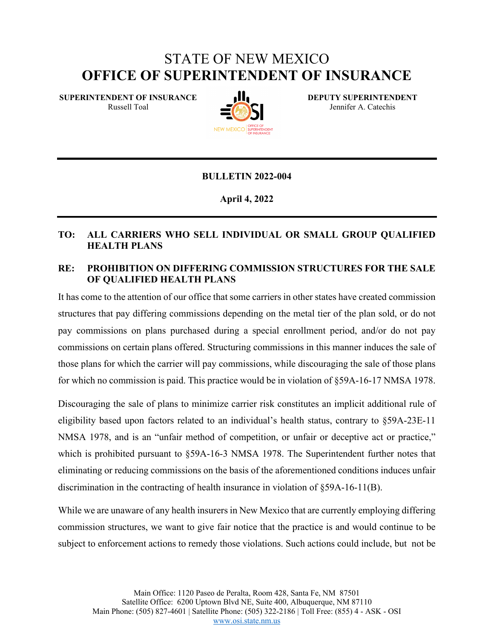# STATE OF NEW MEXICO **OFFICE OF SUPERINTENDENT OF INSURANCE**

**SUPERINTENDENT OF INSURANCE**  Russell Toal



**DEPUTY SUPERINTENDENT** Jennifer A. Catechis

#### **BULLETIN 2022-004**

**April 4, 2022**

## **TO: ALL CARRIERS WHO SELL INDIVIDUAL OR SMALL GROUP QUALIFIED HEALTH PLANS**

## **RE: PROHIBITION ON DIFFERING COMMISSION STRUCTURES FOR THE SALE OF QUALIFIED HEALTH PLANS**

It has come to the attention of our office that some carriers in other states have created commission structures that pay differing commissions depending on the metal tier of the plan sold, or do not pay commissions on plans purchased during a special enrollment period, and/or do not pay commissions on certain plans offered. Structuring commissions in this manner induces the sale of those plans for which the carrier will pay commissions, while discouraging the sale of those plans for which no commission is paid. This practice would be in violation of §59A-16-17 NMSA 1978.

Discouraging the sale of plans to minimize carrier risk constitutes an implicit additional rule of eligibility based upon factors related to an individual's health status, contrary to §59A-23E-11 NMSA 1978, and is an "unfair method of competition, or unfair or deceptive act or practice," which is prohibited pursuant to  $\S 59A-16-3$  NMSA 1978. The Superintendent further notes that eliminating or reducing commissions on the basis of the aforementioned conditions induces unfair discrimination in the contracting of health insurance in violation of §59A-16-11(B).

While we are unaware of any health insurers in New Mexico that are currently employing differing commission structures, we want to give fair notice that the practice is and would continue to be subject to enforcement actions to remedy those violations. Such actions could include, but not be